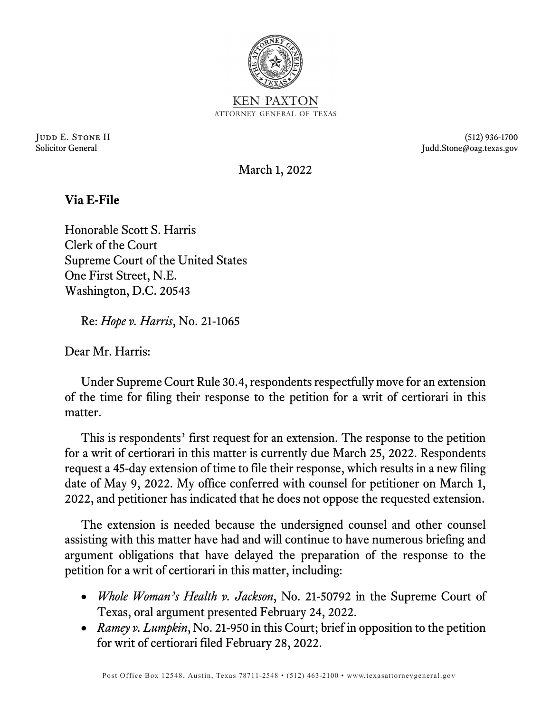

Judd E. Stone II (512) 936-1700 Solicitor General Judd.Stone@oag.texas.gov

March 1, 2022

## **Via E-File**

Honorable Scott S. Harris Clerk of the Court Supreme Court of the United States One First Street, N.E. Washington, D.C. 20543

Re: *Hope v. Harris*, No. 21-1065

Dear Mr. Harris:

Under Supreme Court Rule 30.4, respondents respectfully move for an extension of the time for filing their response to the petition for a writ of certiorari in this matter.

This is respondents' first request for an extension. The response to the petition for a writ of certiorari in this matter is currently due March 25, 2022. Respondents request a 45-day extension of time to file their response, which results in a new filing date of May 9, 2022. My office conferred with counsel for petitioner on March 1, 2022, and petitioner has indicated that he does not oppose the requested extension.

The extension is needed because the undersigned counsel and other counsel assisting with this matter have had and will continue to have numerous briefing and argument obligations that have delayed the preparation of the response to the petition for a writ of certiorari in this matter, including:

- *Whole Woman's Health v. Jackson*, No. 21-50792 in the Supreme Court of Texas, oral argument presented February 24, 2022.
- *Ramey v. Lumpkin*, No. 21-950 in this Court; brief in opposition to the petition for writ of certiorari filed February 28, 2022.